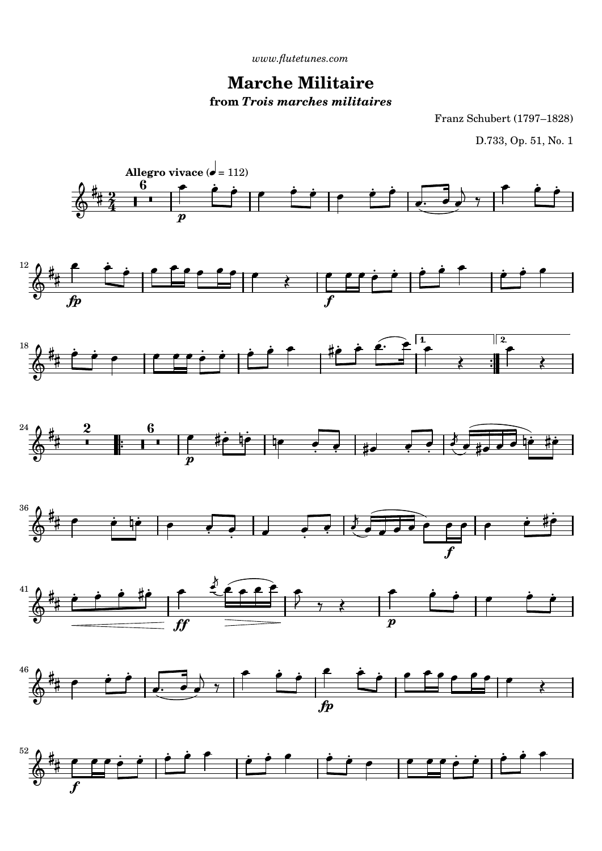*[www.flutetunes.com](http://www.flutetunes.com)* 

## **Marche Militaire from** *Trois marches militaires*

Franz Schubert (1797–1828)

D.733, Op. 51, No. 1

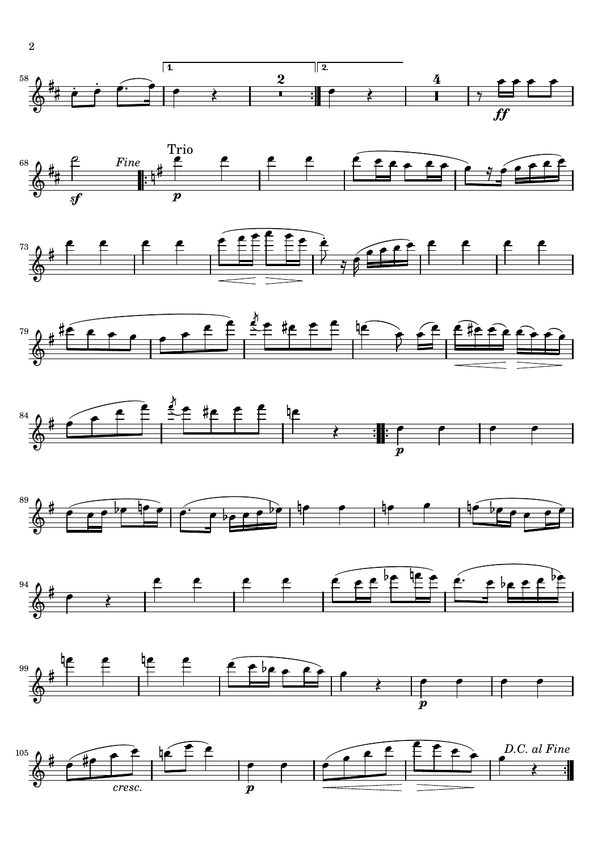















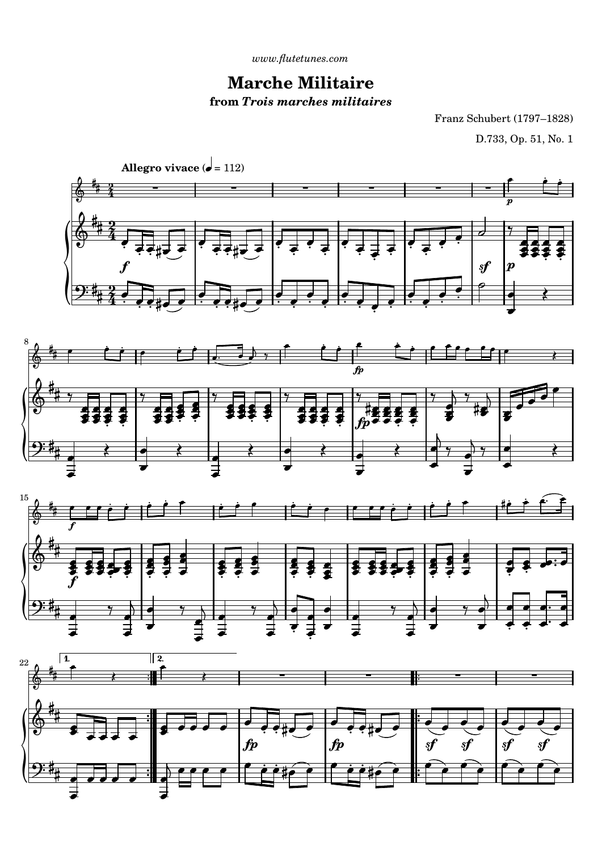*[www.flutetunes.com](http://www.flutetunes.com)* 

## **Marche Militaire from** *Trois marches militaires*

Franz Schubert (1797–1828)

D.733, Op. 51, No. 1



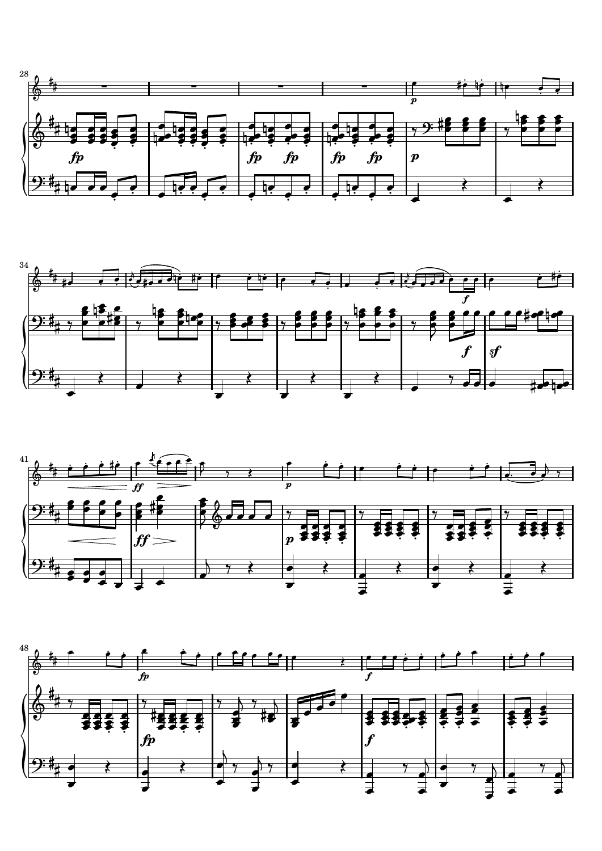





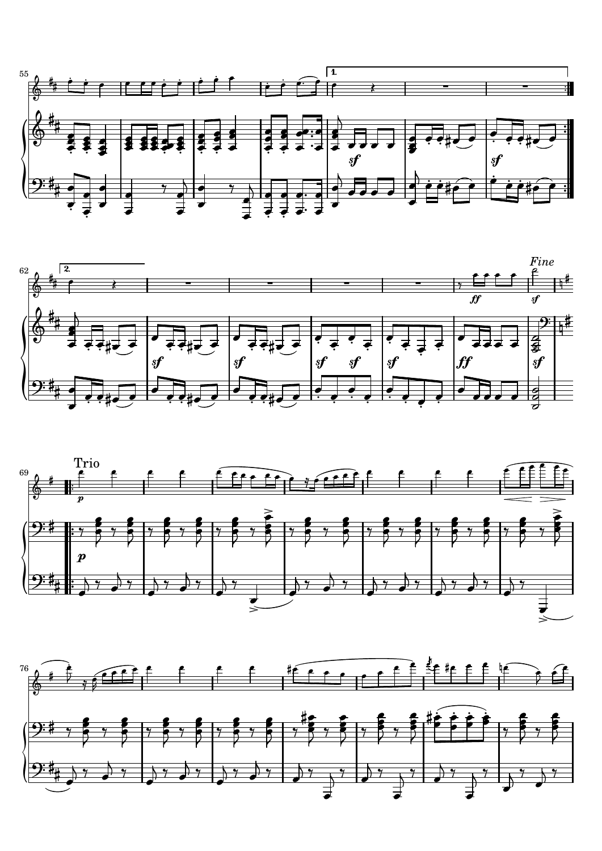